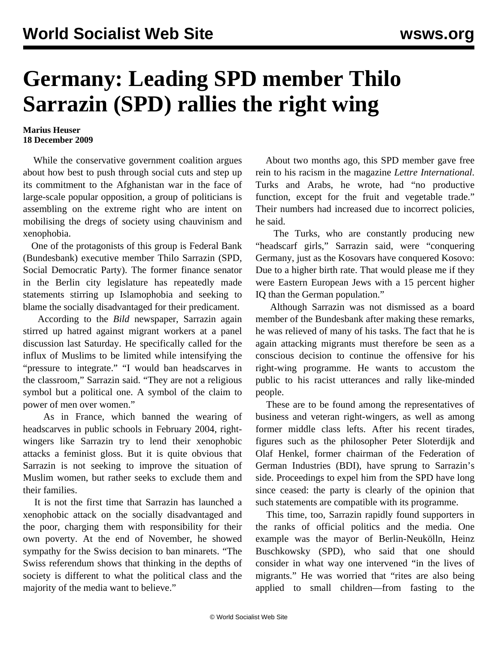## **Germany: Leading SPD member Thilo Sarrazin (SPD) rallies the right wing**

## **Marius Heuser 18 December 2009**

 While the conservative government coalition argues about how best to push through social cuts and step up its commitment to the Afghanistan war in the face of large-scale popular opposition, a group of politicians is assembling on the extreme right who are intent on mobilising the dregs of society using chauvinism and xenophobia.

 One of the protagonists of this group is Federal Bank (Bundesbank) executive member Thilo Sarrazin (SPD, Social Democratic Party). The former finance senator in the Berlin city legislature has repeatedly made statements stirring up Islamophobia and seeking to blame the socially disadvantaged for their predicament.

 According to the *Bild* newspaper, Sarrazin again stirred up hatred against migrant workers at a panel discussion last Saturday. He specifically called for the influx of Muslims to be limited while intensifying the "pressure to integrate." "I would ban headscarves in the classroom," Sarrazin said. "They are not a religious symbol but a political one. A symbol of the claim to power of men over women."

 As in France, which banned the wearing of headscarves in public schools in February 2004, rightwingers like Sarrazin try to lend their xenophobic attacks a feminist gloss. But it is quite obvious that Sarrazin is not seeking to improve the situation of Muslim women, but rather seeks to exclude them and their families.

 It is not the first time that Sarrazin has launched a xenophobic attack on the socially disadvantaged and the poor, charging them with responsibility for their own poverty. At the end of November, he showed sympathy for the Swiss decision to ban minarets. "The Swiss referendum shows that thinking in the depths of society is different to what the political class and the majority of the media want to believe."

 About two months ago, this SPD member gave free rein to his racism in the magazine *Lettre International*. Turks and Arabs, he wrote, had "no productive function, except for the fruit and vegetable trade." Their numbers had increased due to incorrect policies, he said.

 The Turks, who are constantly producing new "headscarf girls," Sarrazin said, were "conquering Germany, just as the Kosovars have conquered Kosovo: Due to a higher birth rate. That would please me if they were Eastern European Jews with a 15 percent higher IQ than the German population."

 Although Sarrazin was not dismissed as a board member of the Bundesbank after making these remarks, he was relieved of many of his tasks. The fact that he is again attacking migrants must therefore be seen as a conscious decision to continue the offensive for his right-wing programme. He wants to accustom the public to his racist utterances and rally like-minded people.

 These are to be found among the representatives of business and veteran right-wingers, as well as among former middle class lefts. After his recent tirades, figures such as the philosopher Peter Sloterdijk and Olaf Henkel, former chairman of the Federation of German Industries (BDI), have sprung to Sarrazin's side. Proceedings to expel him from the SPD have long since ceased: the party is clearly of the opinion that such statements are compatible with its programme.

 This time, too, Sarrazin rapidly found supporters in the ranks of official politics and the media. One example was the mayor of Berlin-Neukölln, Heinz Buschkowsky (SPD), who said that one should consider in what way one intervened "in the lives of migrants." He was worried that "rites are also being applied to small children—from fasting to the